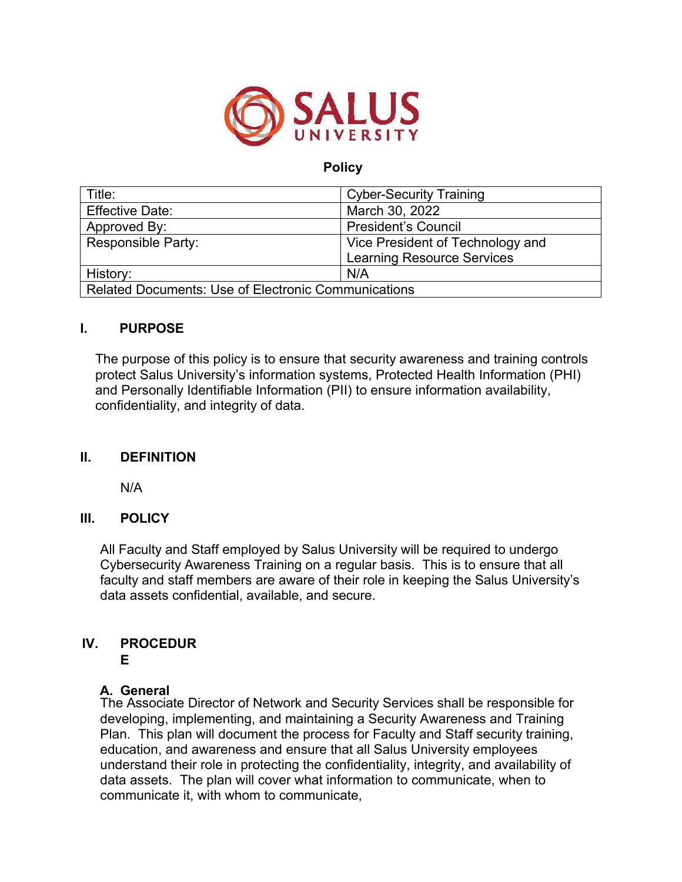

# **Policy**

| Title:                                                     | <b>Cyber-Security Training</b>    |
|------------------------------------------------------------|-----------------------------------|
| <b>Effective Date:</b>                                     | March 30, 2022                    |
| Approved By:                                               | <b>President's Council</b>        |
| <b>Responsible Party:</b>                                  | Vice President of Technology and  |
|                                                            | <b>Learning Resource Services</b> |
| History:                                                   | N/A                               |
| <b>Related Documents: Use of Electronic Communications</b> |                                   |

## **I. PURPOSE**

The purpose of this policy is to ensure that security awareness and training controls protect Salus University's information systems, Protected Health Information (PHI) and Personally Identifiable Information (PII) to ensure information availability, confidentiality, and integrity of data.

## **II. DEFINITION**

N/A

## **III. POLICY**

All Faculty and Staff employed by Salus University will be required to undergo Cybersecurity Awareness Training on a regular basis. This is to ensure that all faculty and staff members are aware of their role in keeping the Salus University's data assets confidential, available, and secure.

# **IV. PROCEDUR**

#### **E**

# **A. General**

The Associate Director of Network and Security Services shall be responsible for developing, implementing, and maintaining a Security Awareness and Training Plan. This plan will document the process for Faculty and Staff security training, education, and awareness and ensure that all Salus University employees understand their role in protecting the confidentiality, integrity, and availability of data assets. The plan will cover what information to communicate, when to communicate it, with whom to communicate,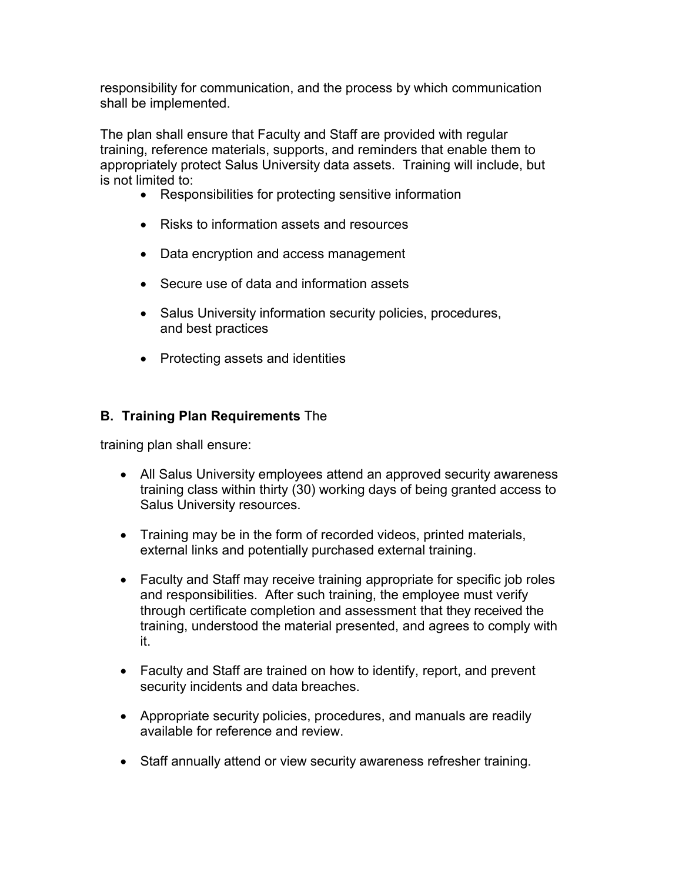responsibility for communication, and the process by which communication shall be implemented.

The plan shall ensure that Faculty and Staff are provided with regular training, reference materials, supports, and reminders that enable them to appropriately protect Salus University data assets. Training will include, but is not limited to:

- Responsibilities for protecting sensitive information
- Risks to information assets and resources
- Data encryption and access management
- Secure use of data and information assets
- Salus University information security policies, procedures, and best practices
- Protecting assets and identities

# **B. Training Plan Requirements** The

training plan shall ensure:

- All Salus University employees attend an approved security awareness training class within thirty (30) working days of being granted access to Salus University resources.
- Training may be in the form of recorded videos, printed materials, external links and potentially purchased external training.
- Faculty and Staff may receive training appropriate for specific job roles and responsibilities. After such training, the employee must verify through certificate completion and assessment that they received the training, understood the material presented, and agrees to comply with it.
- Faculty and Staff are trained on how to identify, report, and prevent security incidents and data breaches.
- Appropriate security policies, procedures, and manuals are readily available for reference and review.
- Staff annually attend or view security awareness refresher training.